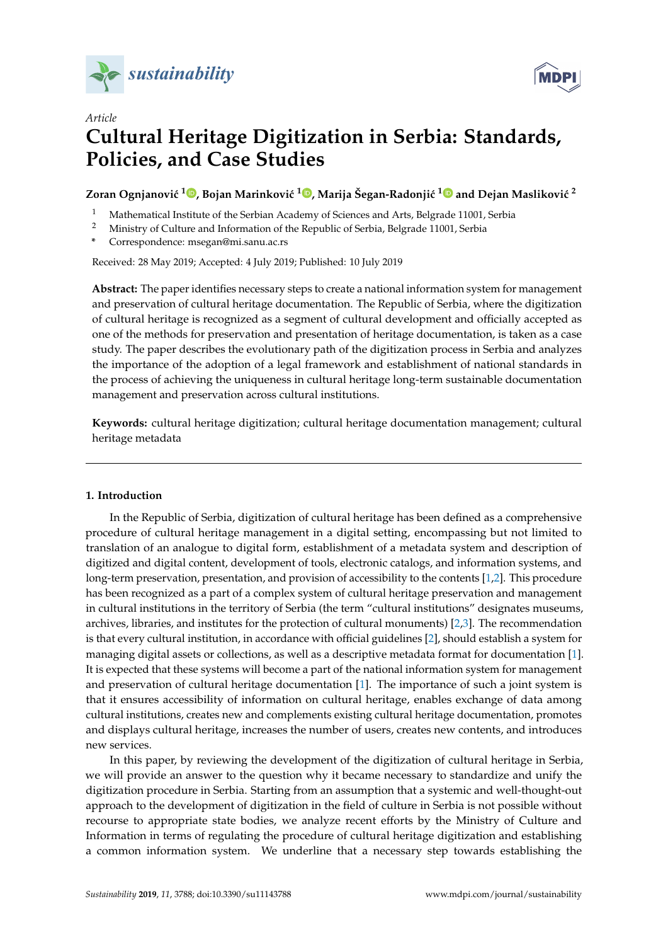



# *Article* **Cultural Heritage Digitization in Serbia: Standards, Policies, and Case Studies**

 $\bf{Z}$ oran Ognjanović  $^{\bf{1} \textcircled{\textcircled{\textcirc}}}$  $^{\bf{1} \textcircled{\textcircled{\textcirc}}}$  $^{\bf{1} \textcircled{\textcircled{\textcirc}}}$ [,](https://orcid.org/0000-0002-9533-0330) Bojan Marinković  $^{\bf{1} \textcircled{\textcircled{\textcirc}}}$ , Marija Šegan-Radonjić  $^{\bf{1} \textcircled{\textcircled{\textcirc}}}$  and Dejan Masliković  $^{\bf{2}}$ 

- <sup>1</sup> Mathematical Institute of the Serbian Academy of Sciences and Arts, Belgrade 11001, Serbia
- <sup>2</sup> Ministry of Culture and Information of the Republic of Serbia, Belgrade 11001, Serbia
- **\*** Correspondence: msegan@mi.sanu.ac.rs

Received: 28 May 2019; Accepted: 4 July 2019; Published: 10 July 2019

**Abstract:** The paper identifies necessary steps to create a national information system for management and preservation of cultural heritage documentation. The Republic of Serbia, where the digitization of cultural heritage is recognized as a segment of cultural development and officially accepted as one of the methods for preservation and presentation of heritage documentation, is taken as a case study. The paper describes the evolutionary path of the digitization process in Serbia and analyzes the importance of the adoption of a legal framework and establishment of national standards in the process of achieving the uniqueness in cultural heritage long-term sustainable documentation management and preservation across cultural institutions.

**Keywords:** cultural heritage digitization; cultural heritage documentation management; cultural heritage metadata

# **1. Introduction**

In the Republic of Serbia, digitization of cultural heritage has been defined as a comprehensive procedure of cultural heritage management in a digital setting, encompassing but not limited to translation of an analogue to digital form, establishment of a metadata system and description of digitized and digital content, development of tools, electronic catalogs, and information systems, and long-term preservation, presentation, and provision of accessibility to the contents [\[1](#page-9-0)[,2\]](#page-9-1). This procedure has been recognized as a part of a complex system of cultural heritage preservation and management in cultural institutions in the territory of Serbia (the term "cultural institutions" designates museums, archives, libraries, and institutes for the protection of cultural monuments) [\[2,](#page-9-1)[3\]](#page-9-2). The recommendation is that every cultural institution, in accordance with official guidelines [\[2\]](#page-9-1), should establish a system for managing digital assets or collections, as well as a descriptive metadata format for documentation [\[1\]](#page-9-0). It is expected that these systems will become a part of the national information system for management and preservation of cultural heritage documentation [\[1\]](#page-9-0). The importance of such a joint system is that it ensures accessibility of information on cultural heritage, enables exchange of data among cultural institutions, creates new and complements existing cultural heritage documentation, promotes and displays cultural heritage, increases the number of users, creates new contents, and introduces new services.

In this paper, by reviewing the development of the digitization of cultural heritage in Serbia, we will provide an answer to the question why it became necessary to standardize and unify the digitization procedure in Serbia. Starting from an assumption that a systemic and well-thought-out approach to the development of digitization in the field of culture in Serbia is not possible without recourse to appropriate state bodies, we analyze recent efforts by the Ministry of Culture and Information in terms of regulating the procedure of cultural heritage digitization and establishing a common information system. We underline that a necessary step towards establishing the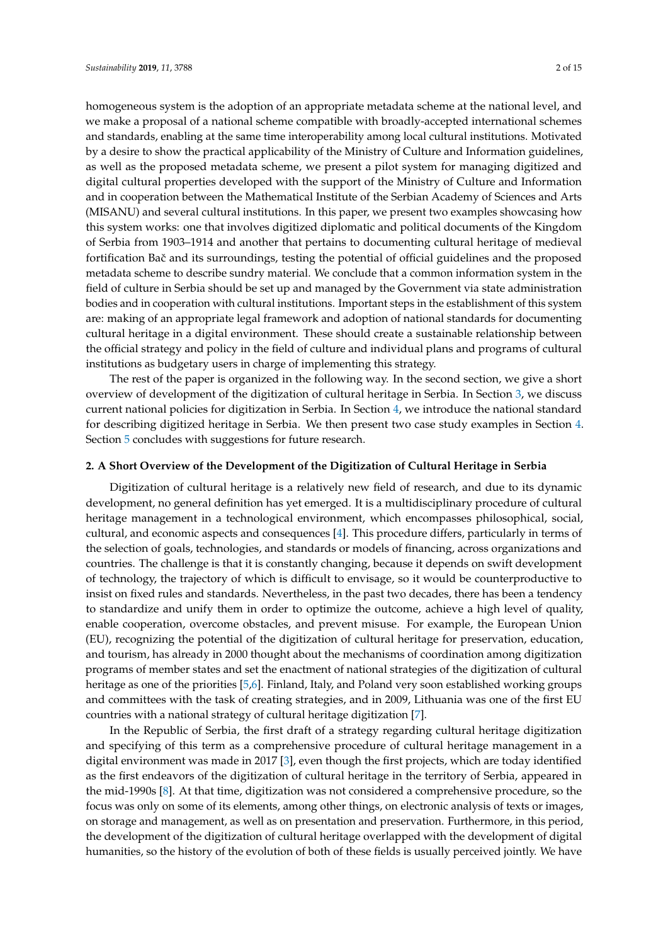homogeneous system is the adoption of an appropriate metadata scheme at the national level, and we make a proposal of a national scheme compatible with broadly-accepted international schemes and standards, enabling at the same time interoperability among local cultural institutions. Motivated by a desire to show the practical applicability of the Ministry of Culture and Information guidelines, as well as the proposed metadata scheme, we present a pilot system for managing digitized and digital cultural properties developed with the support of the Ministry of Culture and Information and in cooperation between the Mathematical Institute of the Serbian Academy of Sciences and Arts (MISANU) and several cultural institutions. In this paper, we present two examples showcasing how this system works: one that involves digitized diplomatic and political documents of the Kingdom of Serbia from 1903–1914 and another that pertains to documenting cultural heritage of medieval fortification Bač and its surroundings, testing the potential of official guidelines and the proposed metadata scheme to describe sundry material. We conclude that a common information system in the field of culture in Serbia should be set up and managed by the Government via state administration bodies and in cooperation with cultural institutions. Important steps in the establishment of this system are: making of an appropriate legal framework and adoption of national standards for documenting cultural heritage in a digital environment. These should create a sustainable relationship between the official strategy and policy in the field of culture and individual plans and programs of cultural institutions as budgetary users in charge of implementing this strategy.

The rest of the paper is organized in the following way. In the second section, we give a short overview of development of the digitization of cultural heritage in Serbia. In Section [3,](#page-3-0) we discuss current national policies for digitization in Serbia. In Section [4,](#page-5-0) we introduce the national standard for describing digitized heritage in Serbia. We then present two case study examples in Section [4.](#page-5-0) Section [5](#page-7-0) concludes with suggestions for future research.

#### **2. A Short Overview of the Development of the Digitization of Cultural Heritage in Serbia**

Digitization of cultural heritage is a relatively new field of research, and due to its dynamic development, no general definition has yet emerged. It is a multidisciplinary procedure of cultural heritage management in a technological environment, which encompasses philosophical, social, cultural, and economic aspects and consequences [\[4\]](#page-10-0). This procedure differs, particularly in terms of the selection of goals, technologies, and standards or models of financing, across organizations and countries. The challenge is that it is constantly changing, because it depends on swift development of technology, the trajectory of which is difficult to envisage, so it would be counterproductive to insist on fixed rules and standards. Nevertheless, in the past two decades, there has been a tendency to standardize and unify them in order to optimize the outcome, achieve a high level of quality, enable cooperation, overcome obstacles, and prevent misuse. For example, the European Union (EU), recognizing the potential of the digitization of cultural heritage for preservation, education, and tourism, has already in 2000 thought about the mechanisms of coordination among digitization programs of member states and set the enactment of national strategies of the digitization of cultural heritage as one of the priorities [\[5](#page-10-1)[,6\]](#page-10-2). Finland, Italy, and Poland very soon established working groups and committees with the task of creating strategies, and in 2009, Lithuania was one of the first EU countries with a national strategy of cultural heritage digitization [\[7\]](#page-10-3).

In the Republic of Serbia, the first draft of a strategy regarding cultural heritage digitization and specifying of this term as a comprehensive procedure of cultural heritage management in a digital environment was made in 2017 [\[3\]](#page-9-2), even though the first projects, which are today identified as the first endeavors of the digitization of cultural heritage in the territory of Serbia, appeared in the mid-1990s [\[8\]](#page-10-4). At that time, digitization was not considered a comprehensive procedure, so the focus was only on some of its elements, among other things, on electronic analysis of texts or images, on storage and management, as well as on presentation and preservation. Furthermore, in this period, the development of the digitization of cultural heritage overlapped with the development of digital humanities, so the history of the evolution of both of these fields is usually perceived jointly. We have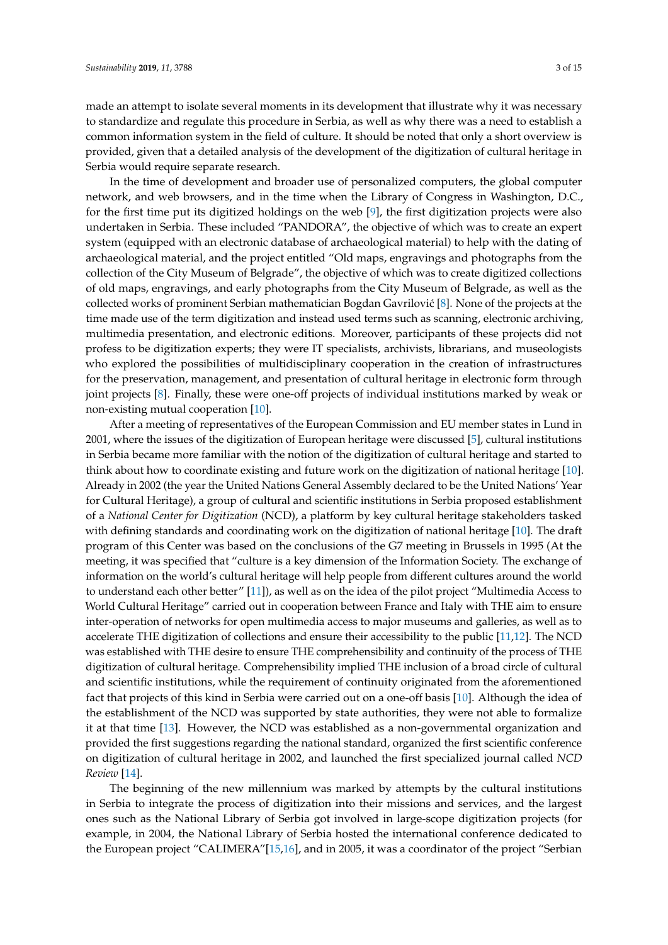made an attempt to isolate several moments in its development that illustrate why it was necessary to standardize and regulate this procedure in Serbia, as well as why there was a need to establish a common information system in the field of culture. It should be noted that only a short overview is provided, given that a detailed analysis of the development of the digitization of cultural heritage in Serbia would require separate research.

In the time of development and broader use of personalized computers, the global computer network, and web browsers, and in the time when the Library of Congress in Washington, D.C., for the first time put its digitized holdings on the web [\[9\]](#page-10-5), the first digitization projects were also undertaken in Serbia. These included "PANDORA", the objective of which was to create an expert system (equipped with an electronic database of archaeological material) to help with the dating of archaeological material, and the project entitled "Old maps, engravings and photographs from the collection of the City Museum of Belgrade", the objective of which was to create digitized collections of old maps, engravings, and early photographs from the City Museum of Belgrade, as well as the collected works of prominent Serbian mathematician Bogdan Gavrilović [\[8\]](#page-10-4). None of the projects at the time made use of the term digitization and instead used terms such as scanning, electronic archiving, multimedia presentation, and electronic editions. Moreover, participants of these projects did not profess to be digitization experts; they were IT specialists, archivists, librarians, and museologists who explored the possibilities of multidisciplinary cooperation in the creation of infrastructures for the preservation, management, and presentation of cultural heritage in electronic form through joint projects [\[8\]](#page-10-4). Finally, these were one-off projects of individual institutions marked by weak or non-existing mutual cooperation [\[10\]](#page-10-6).

After a meeting of representatives of the European Commission and EU member states in Lund in 2001, where the issues of the digitization of European heritage were discussed [\[5\]](#page-10-1), cultural institutions in Serbia became more familiar with the notion of the digitization of cultural heritage and started to think about how to coordinate existing and future work on the digitization of national heritage [\[10\]](#page-10-6). Already in 2002 (the year the United Nations General Assembly declared to be the United Nations' Year for Cultural Heritage), a group of cultural and scientific institutions in Serbia proposed establishment of a *National Center for Digitization* (NCD), a platform by key cultural heritage stakeholders tasked with defining standards and coordinating work on the digitization of national heritage [\[10\]](#page-10-6). The draft program of this Center was based on the conclusions of the G7 meeting in Brussels in 1995 (At the meeting, it was specified that "culture is a key dimension of the Information Society. The exchange of information on the world's cultural heritage will help people from different cultures around the world to understand each other better" [\[11\]](#page-10-7)), as well as on the idea of the pilot project "Multimedia Access to World Cultural Heritage" carried out in cooperation between France and Italy with THE aim to ensure inter-operation of networks for open multimedia access to major museums and galleries, as well as to accelerate THE digitization of collections and ensure their accessibility to the public [\[11,](#page-10-7)[12\]](#page-10-8). The NCD was established with THE desire to ensure THE comprehensibility and continuity of the process of THE digitization of cultural heritage. Comprehensibility implied THE inclusion of a broad circle of cultural and scientific institutions, while the requirement of continuity originated from the aforementioned fact that projects of this kind in Serbia were carried out on a one-off basis [\[10\]](#page-10-6). Although the idea of the establishment of the NCD was supported by state authorities, they were not able to formalize it at that time [\[13\]](#page-10-9). However, the NCD was established as a non-governmental organization and provided the first suggestions regarding the national standard, organized the first scientific conference on digitization of cultural heritage in 2002, and launched the first specialized journal called *NCD Review* [\[14\]](#page-10-10).

The beginning of the new millennium was marked by attempts by the cultural institutions in Serbia to integrate the process of digitization into their missions and services, and the largest ones such as the National Library of Serbia got involved in large-scope digitization projects (for example, in 2004, the National Library of Serbia hosted the international conference dedicated to the European project "CALIMERA"[\[15,](#page-10-11)[16\]](#page-10-12), and in 2005, it was a coordinator of the project "Serbian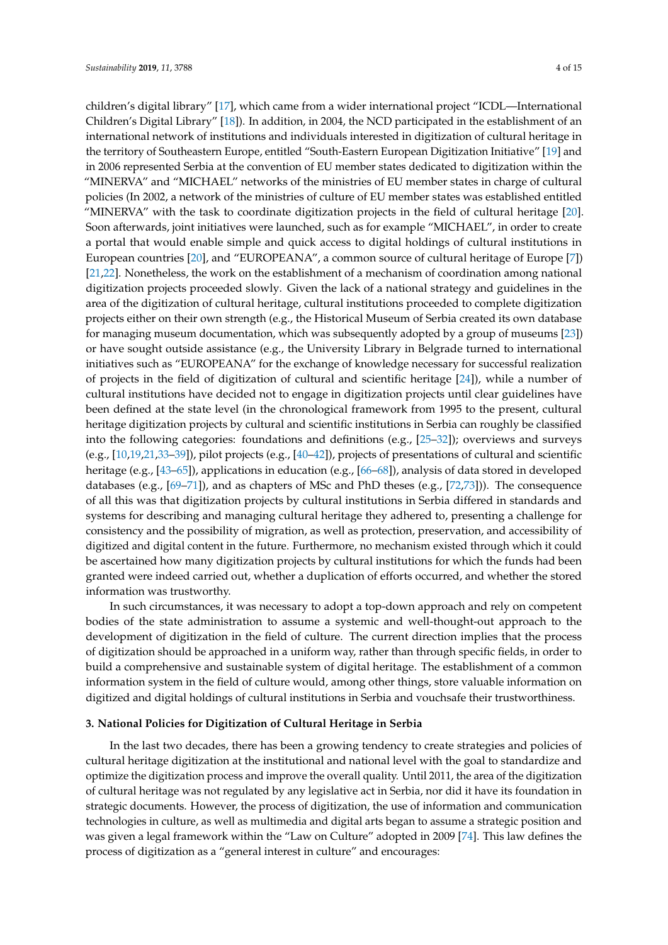children's digital library" [\[17\]](#page-10-13), which came from a wider international project "ICDL—International Children's Digital Library" [\[18\]](#page-10-14)). In addition, in 2004, the NCD participated in the establishment of an international network of institutions and individuals interested in digitization of cultural heritage in the territory of Southeastern Europe, entitled "South-Eastern European Digitization Initiative" [\[19\]](#page-10-15) and in 2006 represented Serbia at the convention of EU member states dedicated to digitization within the "MINERVA" and "MICHAEL" networks of the ministries of EU member states in charge of cultural policies (In 2002, a network of the ministries of culture of EU member states was established entitled "MINERVA" with the task to coordinate digitization projects in the field of cultural heritage [\[20\]](#page-10-16). Soon afterwards, joint initiatives were launched, such as for example "MICHAEL", in order to create a portal that would enable simple and quick access to digital holdings of cultural institutions in European countries [\[20\]](#page-10-16), and "EUROPEANA", a common source of cultural heritage of Europe [\[7\]](#page-10-3)) [\[21](#page-10-17)[,22\]](#page-10-18). Nonetheless, the work on the establishment of a mechanism of coordination among national digitization projects proceeded slowly. Given the lack of a national strategy and guidelines in the area of the digitization of cultural heritage, cultural institutions proceeded to complete digitization projects either on their own strength (e.g., the Historical Museum of Serbia created its own database for managing museum documentation, which was subsequently adopted by a group of museums [\[23\]](#page-10-19)) or have sought outside assistance (e.g., the University Library in Belgrade turned to international initiatives such as "EUROPEANA" for the exchange of knowledge necessary for successful realization of projects in the field of digitization of cultural and scientific heritage [\[24\]](#page-10-20)), while a number of cultural institutions have decided not to engage in digitization projects until clear guidelines have been defined at the state level (in the chronological framework from 1995 to the present, cultural heritage digitization projects by cultural and scientific institutions in Serbia can roughly be classified into the following categories: foundations and definitions (e.g., [\[25](#page-11-0)[–32\]](#page-11-1)); overviews and surveys (e.g., [\[10](#page-10-6)[,19](#page-10-15)[,21,](#page-10-17)[33–](#page-11-2)[39\]](#page-11-3)), pilot projects (e.g., [\[40–](#page-11-4)[42\]](#page-11-5)), projects of presentations of cultural and scientific heritage (e.g., [\[43–](#page-11-6)[65\]](#page-12-0)), applications in education (e.g., [\[66](#page-12-1)[–68\]](#page-13-0)), analysis of data stored in developed databases (e.g.,  $[69-71]$  $[69-71]$ ), and as chapters of MSc and PhD theses (e.g.,  $[72,73]$  $[72,73]$ )). The consequence of all this was that digitization projects by cultural institutions in Serbia differed in standards and systems for describing and managing cultural heritage they adhered to, presenting a challenge for consistency and the possibility of migration, as well as protection, preservation, and accessibility of digitized and digital content in the future. Furthermore, no mechanism existed through which it could be ascertained how many digitization projects by cultural institutions for which the funds had been granted were indeed carried out, whether a duplication of efforts occurred, and whether the stored information was trustworthy.

In such circumstances, it was necessary to adopt a top-down approach and rely on competent bodies of the state administration to assume a systemic and well-thought-out approach to the development of digitization in the field of culture. The current direction implies that the process of digitization should be approached in a uniform way, rather than through specific fields, in order to build a comprehensive and sustainable system of digital heritage. The establishment of a common information system in the field of culture would, among other things, store valuable information on digitized and digital holdings of cultural institutions in Serbia and vouchsafe their trustworthiness.

#### <span id="page-3-0"></span>**3. National Policies for Digitization of Cultural Heritage in Serbia**

In the last two decades, there has been a growing tendency to create strategies and policies of cultural heritage digitization at the institutional and national level with the goal to standardize and optimize the digitization process and improve the overall quality. Until 2011, the area of the digitization of cultural heritage was not regulated by any legislative act in Serbia, nor did it have its foundation in strategic documents. However, the process of digitization, the use of information and communication technologies in culture, as well as multimedia and digital arts began to assume a strategic position and was given a legal framework within the "Law on Culture" adopted in 2009 [\[74\]](#page-13-5). This law defines the process of digitization as a "general interest in culture" and encourages: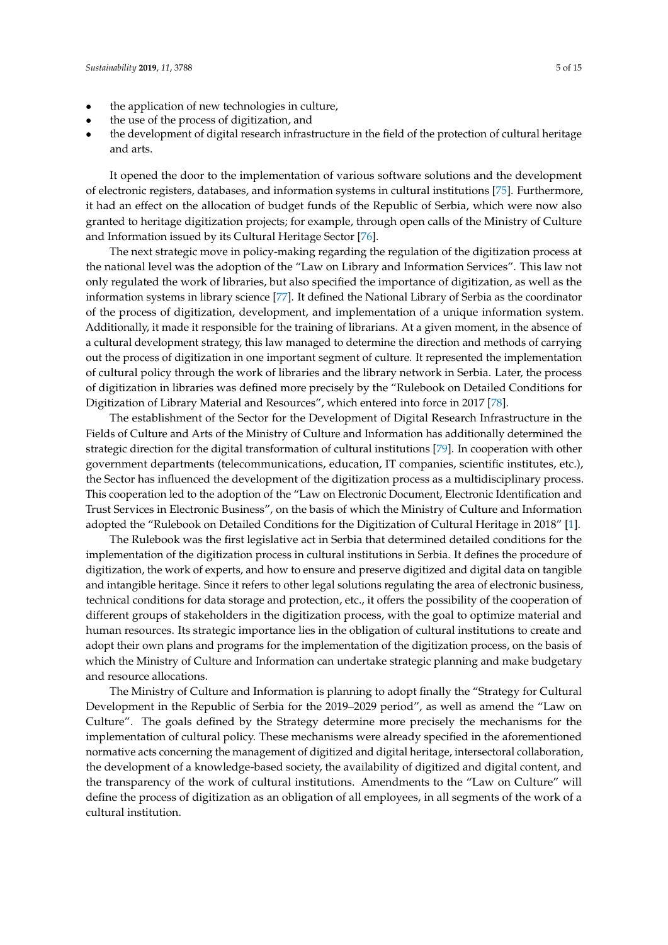- the application of new technologies in culture,
- the use of the process of digitization, and
- the development of digital research infrastructure in the field of the protection of cultural heritage and arts.

It opened the door to the implementation of various software solutions and the development of electronic registers, databases, and information systems in cultural institutions [\[75\]](#page-13-6). Furthermore, it had an effect on the allocation of budget funds of the Republic of Serbia, which were now also granted to heritage digitization projects; for example, through open calls of the Ministry of Culture and Information issued by its Cultural Heritage Sector [\[76\]](#page-13-7).

The next strategic move in policy-making regarding the regulation of the digitization process at the national level was the adoption of the "Law on Library and Information Services". This law not only regulated the work of libraries, but also specified the importance of digitization, as well as the information systems in library science [\[77\]](#page-13-8). It defined the National Library of Serbia as the coordinator of the process of digitization, development, and implementation of a unique information system. Additionally, it made it responsible for the training of librarians. At a given moment, in the absence of a cultural development strategy, this law managed to determine the direction and methods of carrying out the process of digitization in one important segment of culture. It represented the implementation of cultural policy through the work of libraries and the library network in Serbia. Later, the process of digitization in libraries was defined more precisely by the "Rulebook on Detailed Conditions for Digitization of Library Material and Resources", which entered into force in 2017 [\[78\]](#page-13-9).

The establishment of the Sector for the Development of Digital Research Infrastructure in the Fields of Culture and Arts of the Ministry of Culture and Information has additionally determined the strategic direction for the digital transformation of cultural institutions [\[79\]](#page-13-10). In cooperation with other government departments (telecommunications, education, IT companies, scientific institutes, etc.), the Sector has influenced the development of the digitization process as a multidisciplinary process. This cooperation led to the adoption of the "Law on Electronic Document, Electronic Identification and Trust Services in Electronic Business", on the basis of which the Ministry of Culture and Information adopted the "Rulebook on Detailed Conditions for the Digitization of Cultural Heritage in 2018" [\[1\]](#page-9-0).

The Rulebook was the first legislative act in Serbia that determined detailed conditions for the implementation of the digitization process in cultural institutions in Serbia. It defines the procedure of digitization, the work of experts, and how to ensure and preserve digitized and digital data on tangible and intangible heritage. Since it refers to other legal solutions regulating the area of electronic business, technical conditions for data storage and protection, etc., it offers the possibility of the cooperation of different groups of stakeholders in the digitization process, with the goal to optimize material and human resources. Its strategic importance lies in the obligation of cultural institutions to create and adopt their own plans and programs for the implementation of the digitization process, on the basis of which the Ministry of Culture and Information can undertake strategic planning and make budgetary and resource allocations.

The Ministry of Culture and Information is planning to adopt finally the "Strategy for Cultural Development in the Republic of Serbia for the 2019–2029 period", as well as amend the "Law on Culture". The goals defined by the Strategy determine more precisely the mechanisms for the implementation of cultural policy. These mechanisms were already specified in the aforementioned normative acts concerning the management of digitized and digital heritage, intersectoral collaboration, the development of a knowledge-based society, the availability of digitized and digital content, and the transparency of the work of cultural institutions. Amendments to the "Law on Culture" will define the process of digitization as an obligation of all employees, in all segments of the work of a cultural institution.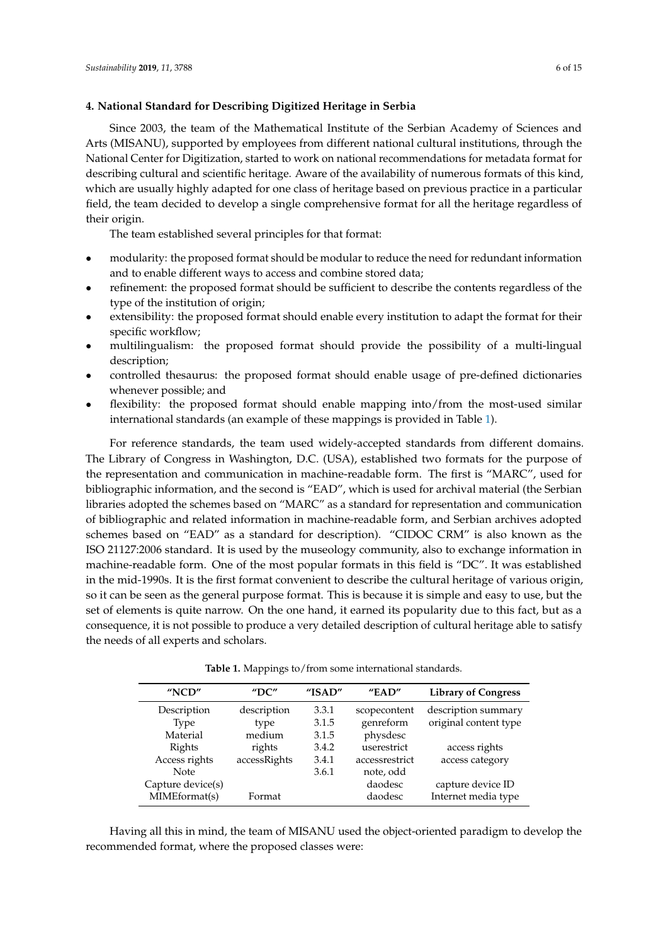# <span id="page-5-0"></span>**4. National Standard for Describing Digitized Heritage in Serbia**

Since 2003, the team of the Mathematical Institute of the Serbian Academy of Sciences and Arts (MISANU), supported by employees from different national cultural institutions, through the National Center for Digitization, started to work on national recommendations for metadata format for describing cultural and scientific heritage. Aware of the availability of numerous formats of this kind, which are usually highly adapted for one class of heritage based on previous practice in a particular field, the team decided to develop a single comprehensive format for all the heritage regardless of their origin.

The team established several principles for that format:

- modularity: the proposed format should be modular to reduce the need for redundant information and to enable different ways to access and combine stored data;
- refinement: the proposed format should be sufficient to describe the contents regardless of the type of the institution of origin;
- extensibility: the proposed format should enable every institution to adapt the format for their specific workflow;
- multilingualism: the proposed format should provide the possibility of a multi-lingual description;
- controlled thesaurus: the proposed format should enable usage of pre-defined dictionaries whenever possible; and
- flexibility: the proposed format should enable mapping into/from the most-used similar international standards (an example of these mappings is provided in Table [1\)](#page-5-1).

For reference standards, the team used widely-accepted standards from different domains. The Library of Congress in Washington, D.C. (USA), established two formats for the purpose of the representation and communication in machine-readable form. The first is "MARC", used for bibliographic information, and the second is "EAD", which is used for archival material (the Serbian libraries adopted the schemes based on "MARC" as a standard for representation and communication of bibliographic and related information in machine-readable form, and Serbian archives adopted schemes based on "EAD" as a standard for description). "CIDOC CRM" is also known as the ISO 21127:2006 standard. It is used by the museology community, also to exchange information in machine-readable form. One of the most popular formats in this field is "DC". It was established in the mid-1990s. It is the first format convenient to describe the cultural heritage of various origin, so it can be seen as the general purpose format. This is because it is simple and easy to use, but the set of elements is quite narrow. On the one hand, it earned its popularity due to this fact, but as a consequence, it is not possible to produce a very detailed description of cultural heritage able to satisfy the needs of all experts and scholars.

**Table 1.** Mappings to/from some international standards.

<span id="page-5-1"></span>

| ''NCD''           | "DC"         | "ISAD" | "FAD"          | <b>Library of Congress</b> |
|-------------------|--------------|--------|----------------|----------------------------|
| Description       | description  | 3.3.1  | scopecontent   | description summary        |
| Type              | type         | 3.1.5  | genreform      | original content type      |
| Material          | medium       | 3.1.5  | physdesc       |                            |
| Rights            | rights       | 3.4.2  | userestrict    | access rights              |
| Access rights     | accessRights | 3.4.1  | accessrestrict | access category            |
| <b>Note</b>       |              | 3.6.1  | note, odd      |                            |
| Capture device(s) |              |        | daodesc        | capture device ID          |
| MIMEformat(s)     | Format       |        | daodesc        | Internet media type        |

Having all this in mind, the team of MISANU used the object-oriented paradigm to develop the recommended format, where the proposed classes were: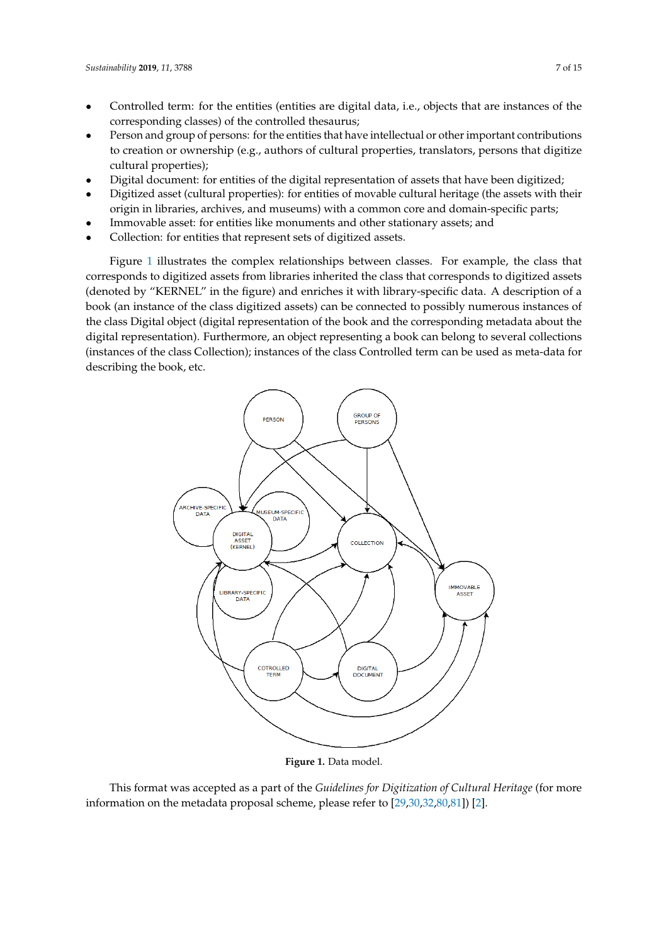- Controlled term: for the entities (entities are digital data, i.e., objects that are instances of the corresponding classes) of the controlled thesaurus;
- Person and group of persons: for the entities that have intellectual or other important contributions to creation or ownership (e.g., authors of cultural properties, translators, persons that digitize cultural properties);
- Digital document: for entities of the digital representation of assets that have been digitized;
- Digitized asset (cultural properties): for entities of movable cultural heritage (the assets with their origin in libraries, archives, and museums) with a common core and domain-specific parts;
- Immovable asset: for entities like monuments and other stationary assets; and
- Collection: for entities that represent sets of digitized assets.

Figure [1](#page-6-0) illustrates the complex relationships between classes. For example, the class that corresponds to digitized assets from libraries inherited the class that corresponds to digitized assets (denoted by "KERNEL" in the figure) and enriches it with library-specific data. A description of a book (an instance of the class digitized assets) can be connected to possibly numerous instances of the class Digital object (digital representation of the book and the corresponding metadata about the digital representation). Furthermore, an object representing a book can belong to several collections (instances of the class Collection); instances of the class Controlled term can be used as meta-data for describing the book, etc.

<span id="page-6-0"></span>

**Figure 1.** Data model.

This format was accepted as a part of the *Guidelines for Digitization of Cultural Heritage* (for more information on the metadata proposal scheme, please refer to [\[29](#page-11-7)[,30](#page-11-8)[,32,](#page-11-1)[80,](#page-13-11)[81\]](#page-13-12)) [\[2\]](#page-9-1).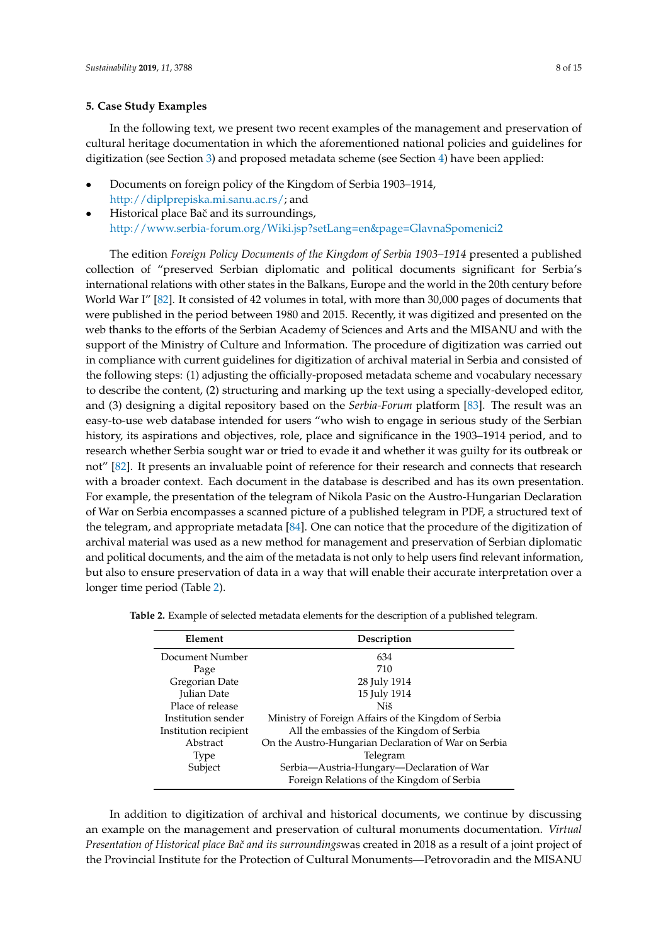## <span id="page-7-0"></span>**5. Case Study Examples**

In the following text, we present two recent examples of the management and preservation of cultural heritage documentation in which the aforementioned national policies and guidelines for digitization (see Section [3\)](#page-3-0) and proposed metadata scheme (see Section [4\)](#page-5-0) have been applied:

- Documents on foreign policy of the Kingdom of Serbia 1903–1914, [http://diplprepiska.mi.sanu.ac.rs/;](http://diplprepiska.mi.sanu.ac.rs/) and
- Historical place Bač and its surroundings, <http://www.serbia-forum.org/Wiki.jsp?setLang=en&page=GlavnaSpomenici2>

The edition *Foreign Policy Documents of the Kingdom of Serbia 1903–1914* presented a published collection of "preserved Serbian diplomatic and political documents significant for Serbia's international relations with other states in the Balkans, Europe and the world in the 20th century before World War I" [\[82\]](#page-13-13). It consisted of 42 volumes in total, with more than 30,000 pages of documents that were published in the period between 1980 and 2015. Recently, it was digitized and presented on the web thanks to the efforts of the Serbian Academy of Sciences and Arts and the MISANU and with the support of the Ministry of Culture and Information. The procedure of digitization was carried out in compliance with current guidelines for digitization of archival material in Serbia and consisted of the following steps: (1) adjusting the officially-proposed metadata scheme and vocabulary necessary to describe the content, (2) structuring and marking up the text using a specially-developed editor, and (3) designing a digital repository based on the *Serbia-Forum* platform [\[83\]](#page-13-14). The result was an easy-to-use web database intended for users "who wish to engage in serious study of the Serbian history, its aspirations and objectives, role, place and significance in the 1903–1914 period, and to research whether Serbia sought war or tried to evade it and whether it was guilty for its outbreak or not" [\[82\]](#page-13-13). It presents an invaluable point of reference for their research and connects that research with a broader context. Each document in the database is described and has its own presentation. For example, the presentation of the telegram of Nikola Pasic on the Austro-Hungarian Declaration of War on Serbia encompasses a scanned picture of a published telegram in PDF, a structured text of the telegram, and appropriate metadata [\[84\]](#page-13-15). One can notice that the procedure of the digitization of archival material was used as a new method for management and preservation of Serbian diplomatic and political documents, and the aim of the metadata is not only to help users find relevant information, but also to ensure preservation of data in a way that will enable their accurate interpretation over a longer time period (Table [2\)](#page-7-1).

| Element               | Description                                                                             |
|-----------------------|-----------------------------------------------------------------------------------------|
| Document Number       | 634                                                                                     |
| Page                  | 710                                                                                     |
| Gregorian Date        | 28 July 1914                                                                            |
| Julian Date           | 15 July 1914                                                                            |
| Place of release      | Niš                                                                                     |
| Institution sender    | Ministry of Foreign Affairs of the Kingdom of Serbia                                    |
| Institution recipient | All the embassies of the Kingdom of Serbia                                              |
| Abstract              | On the Austro-Hungarian Declaration of War on Serbia                                    |
| <b>Type</b>           | Telegram                                                                                |
| Subject               | Serbia—Austria-Hungary—Declaration of War<br>Foreign Relations of the Kingdom of Serbia |

<span id="page-7-1"></span>**Table 2.** Example of selected metadata elements for the description of a published telegram.

In addition to digitization of archival and historical documents, we continue by discussing an example on the management and preservation of cultural monuments documentation. *Virtual Presentation of Historical place Baˇc and its surroundings*was created in 2018 as a result of a joint project of the Provincial Institute for the Protection of Cultural Monuments—Petrovoradin and the MISANU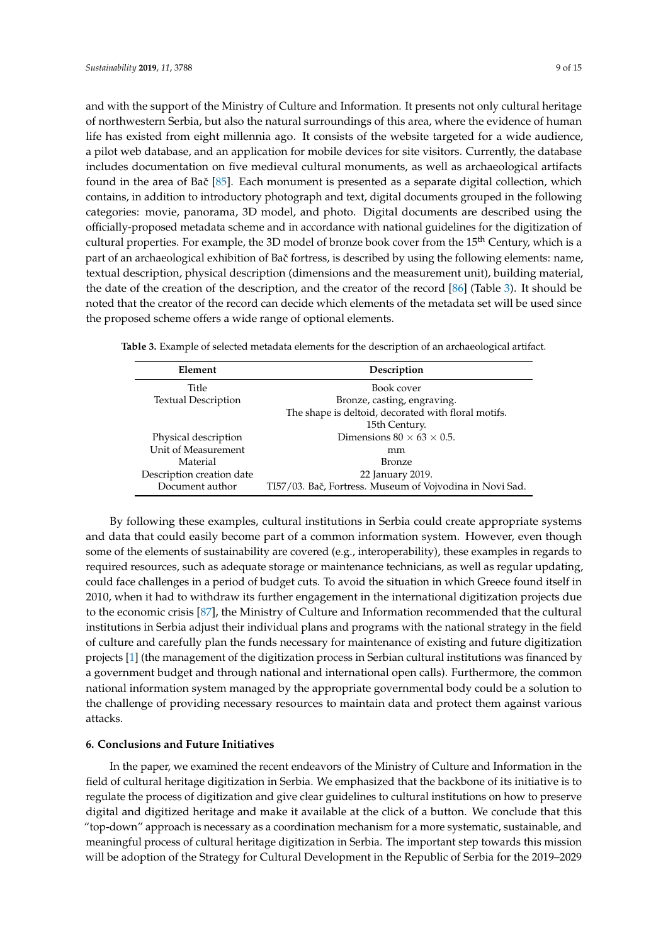and with the support of the Ministry of Culture and Information. It presents not only cultural heritage of northwestern Serbia, but also the natural surroundings of this area, where the evidence of human life has existed from eight millennia ago. It consists of the website targeted for a wide audience, a pilot web database, and an application for mobile devices for site visitors. Currently, the database includes documentation on five medieval cultural monuments, as well as archaeological artifacts found in the area of Bač [\[85\]](#page-14-0). Each monument is presented as a separate digital collection, which contains, in addition to introductory photograph and text, digital documents grouped in the following categories: movie, panorama, 3D model, and photo. Digital documents are described using the officially-proposed metadata scheme and in accordance with national guidelines for the digitization of cultural properties. For example, the 3D model of bronze book cover from the 15<sup>th</sup> Century, which is a part of an archaeological exhibition of Bač fortress, is described by using the following elements: name, textual description, physical description (dimensions and the measurement unit), building material, the date of the creation of the description, and the creator of the record [\[86\]](#page-14-1) (Table [3\)](#page-8-0). It should be noted that the creator of the record can decide which elements of the metadata set will be used since the proposed scheme offers a wide range of optional elements.

| Element                    | Description                                              |  |  |
|----------------------------|----------------------------------------------------------|--|--|
| Title                      | Book cover                                               |  |  |
| <b>Textual Description</b> | Bronze, casting, engraving.                              |  |  |
|                            | The shape is deltoid, decorated with floral motifs.      |  |  |
|                            | 15th Century.                                            |  |  |
| Physical description       | Dimensions $80 \times 63 \times 0.5$ .                   |  |  |
| Unit of Measurement        | mm                                                       |  |  |
| Material                   | Bronze                                                   |  |  |
| Description creation date  | 22 January 2019.                                         |  |  |
| Document author            | TI57/03. Bač, Fortress. Museum of Vojvodina in Novi Sad. |  |  |

<span id="page-8-0"></span>**Table 3.** Example of selected metadata elements for the description of an archaeological artifact.

By following these examples, cultural institutions in Serbia could create appropriate systems and data that could easily become part of a common information system. However, even though some of the elements of sustainability are covered (e.g., interoperability), these examples in regards to required resources, such as adequate storage or maintenance technicians, as well as regular updating, could face challenges in a period of budget cuts. To avoid the situation in which Greece found itself in 2010, when it had to withdraw its further engagement in the international digitization projects due to the economic crisis [\[87\]](#page-14-2), the Ministry of Culture and Information recommended that the cultural institutions in Serbia adjust their individual plans and programs with the national strategy in the field of culture and carefully plan the funds necessary for maintenance of existing and future digitization projects [\[1\]](#page-9-0) (the management of the digitization process in Serbian cultural institutions was financed by a government budget and through national and international open calls). Furthermore, the common national information system managed by the appropriate governmental body could be a solution to the challenge of providing necessary resources to maintain data and protect them against various attacks.

# **6. Conclusions and Future Initiatives**

In the paper, we examined the recent endeavors of the Ministry of Culture and Information in the field of cultural heritage digitization in Serbia. We emphasized that the backbone of its initiative is to regulate the process of digitization and give clear guidelines to cultural institutions on how to preserve digital and digitized heritage and make it available at the click of a button. We conclude that this "top-down" approach is necessary as a coordination mechanism for a more systematic, sustainable, and meaningful process of cultural heritage digitization in Serbia. The important step towards this mission will be adoption of the Strategy for Cultural Development in the Republic of Serbia for the 2019–2029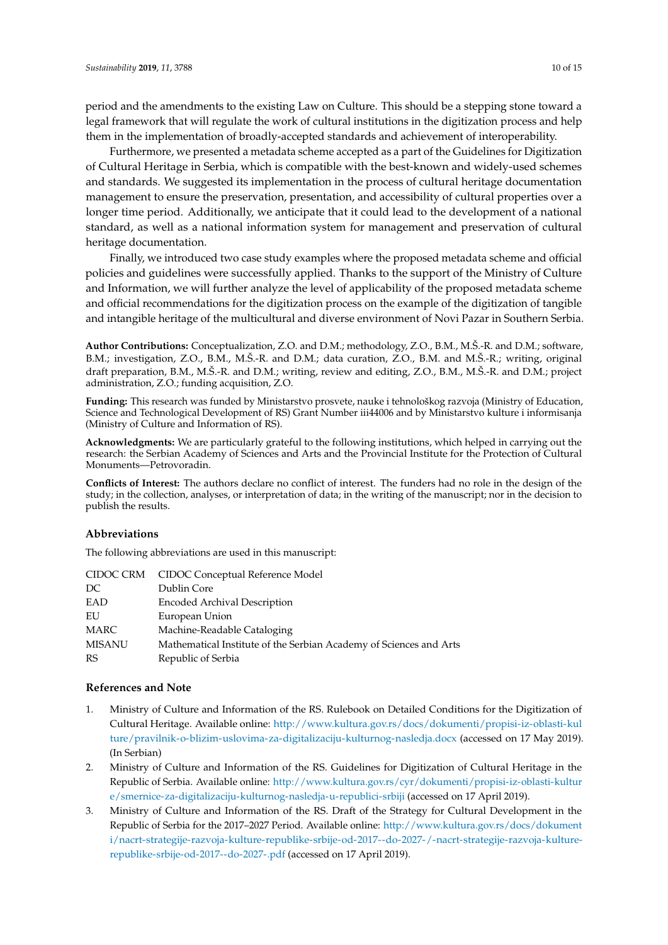period and the amendments to the existing Law on Culture. This should be a stepping stone toward a legal framework that will regulate the work of cultural institutions in the digitization process and help them in the implementation of broadly-accepted standards and achievement of interoperability.

Furthermore, we presented a metadata scheme accepted as a part of the Guidelines for Digitization of Cultural Heritage in Serbia, which is compatible with the best-known and widely-used schemes and standards. We suggested its implementation in the process of cultural heritage documentation management to ensure the preservation, presentation, and accessibility of cultural properties over a longer time period. Additionally, we anticipate that it could lead to the development of a national standard, as well as a national information system for management and preservation of cultural heritage documentation.

Finally, we introduced two case study examples where the proposed metadata scheme and official policies and guidelines were successfully applied. Thanks to the support of the Ministry of Culture and Information, we will further analyze the level of applicability of the proposed metadata scheme and official recommendations for the digitization process on the example of the digitization of tangible and intangible heritage of the multicultural and diverse environment of Novi Pazar in Southern Serbia.

**Author Contributions:** Conceptualization, Z.O. and D.M.; methodology, Z.O., B.M., M.Š.-R. and D.M.; software, B.M.; investigation, Z.O., B.M., M.Š.-R. and D.M.; data curation, Z.O., B.M. and M.Š.-R.; writing, original draft preparation, B.M., M.Š.-R. and D.M.; writing, review and editing, Z.O., B.M., M.Š.-R. and D.M.; project administration, Z.O.; funding acquisition, Z.O.

**Funding:** This research was funded by Ministarstvo prosvete, nauke i tehnološkog razvoja (Ministry of Education, Science and Technological Development of RS) Grant Number iii44006 and by Ministarstvo kulture i informisanja (Ministry of Culture and Information of RS).

**Acknowledgments:** We are particularly grateful to the following institutions, which helped in carrying out the research: the Serbian Academy of Sciences and Arts and the Provincial Institute for the Protection of Cultural Monuments—Petrovoradin.

**Conflicts of Interest:** The authors declare no conflict of interest. The funders had no role in the design of the study; in the collection, analyses, or interpretation of data; in the writing of the manuscript; nor in the decision to publish the results.

### **Abbreviations**

The following abbreviations are used in this manuscript:

| CIDOC CRM     | CIDOC Conceptual Reference Model                                   |
|---------------|--------------------------------------------------------------------|
| DC            | Dublin Core                                                        |
| EAD           | <b>Encoded Archival Description</b>                                |
| EU            | European Union                                                     |
| MARC          | Machine-Readable Cataloging                                        |
| <b>MISANU</b> | Mathematical Institute of the Serbian Academy of Sciences and Arts |
| RS            | Republic of Serbia                                                 |

### **References and Note**

- <span id="page-9-0"></span>1. Ministry of Culture and Information of the RS. Rulebook on Detailed Conditions for the Digitization of Cultural Heritage. Available online: [http://www.kultura.gov.rs/docs/dokumenti/propisi-iz-oblasti-kul](http://www.kultura.gov.rs/docs/dokumenti/propisi-iz-oblasti-kulture/pravilnik-o-blizim-uslovima-za-digitalizaciju-kulturnog-nasledja.docx) [ture/pravilnik-o-blizim-uslovima-za-digitalizaciju-kulturnog-nasledja.docx](http://www.kultura.gov.rs/docs/dokumenti/propisi-iz-oblasti-kulture/pravilnik-o-blizim-uslovima-za-digitalizaciju-kulturnog-nasledja.docx) (accessed on 17 May 2019). (In Serbian)
- <span id="page-9-1"></span>2. Ministry of Culture and Information of the RS. Guidelines for Digitization of Cultural Heritage in the Republic of Serbia. Available online: [http://www.kultura.gov.rs/cyr/dokumenti/propisi-iz-oblasti-kultur](http://www.kultura.gov.rs/cyr/dokumenti/propisi-iz-oblasti-kulture/smernice-za-digitalizaciju-kulturnog-nasledja-u-republici-srbiji) [e/smernice-za-digitalizaciju-kulturnog-nasledja-u-republici-srbiji](http://www.kultura.gov.rs/cyr/dokumenti/propisi-iz-oblasti-kulture/smernice-za-digitalizaciju-kulturnog-nasledja-u-republici-srbiji) (accessed on 17 April 2019).
- <span id="page-9-2"></span>3. Ministry of Culture and Information of the RS. Draft of the Strategy for Cultural Development in the Republic of Serbia for the 2017–2027 Period. Available online: [http://www.kultura.gov.rs/docs/dokument](http://www.kultura.gov.rs/docs/dokumenti/nacrt-strategije-razvoja-kulture-republike-srbije-od-2017--do-2027-/-nacrt-strategije-razvoja-kulture-republike-srbije-od-2017--do-2027-.pdf) [i/nacrt-strategije-razvoja-kulture-republike-srbije-od-2017--do-2027-/-nacrt-strategije-razvoja-kulture](http://www.kultura.gov.rs/docs/dokumenti/nacrt-strategije-razvoja-kulture-republike-srbije-od-2017--do-2027-/-nacrt-strategije-razvoja-kulture-republike-srbije-od-2017--do-2027-.pdf)[republike-srbije-od-2017--do-2027-.pdf](http://www.kultura.gov.rs/docs/dokumenti/nacrt-strategije-razvoja-kulture-republike-srbije-od-2017--do-2027-/-nacrt-strategije-razvoja-kulture-republike-srbije-od-2017--do-2027-.pdf) (accessed on 17 April 2019).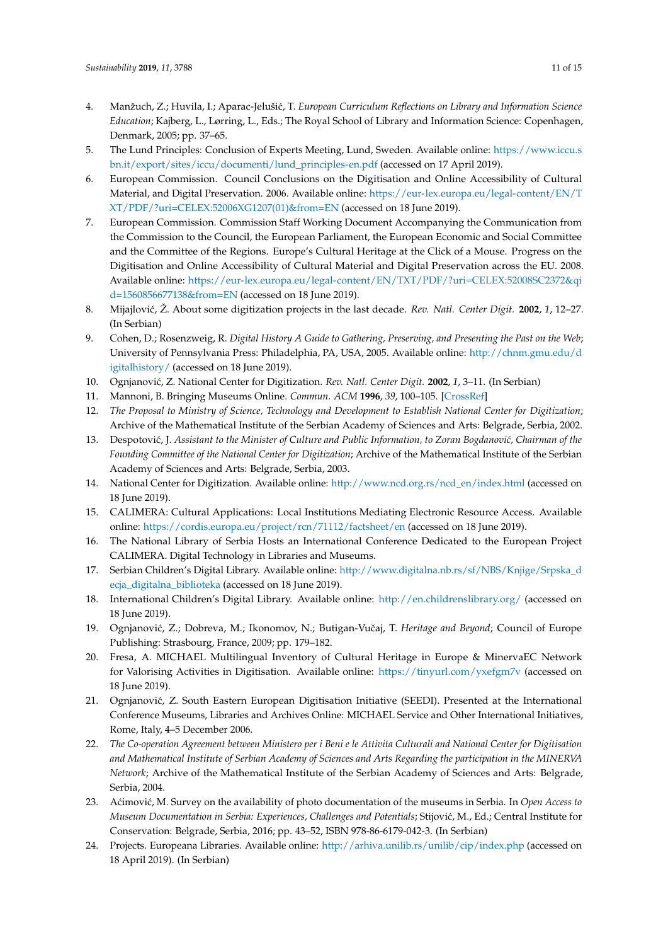- <span id="page-10-0"></span>4. Manžuch, Z.; Huvila, I.; Aparac-Jelušić, T. *European Curriculum Reflections on Library and Information Science Education*; Kajberg, L., Lørring, L., Eds.; The Royal School of Library and Information Science: Copenhagen, Denmark, 2005; pp. 37–65.
- <span id="page-10-1"></span>5. The Lund Principles: Conclusion of Experts Meeting, Lund, Sweden. Available online: [https://www.iccu.s](https://www.iccu.sbn.it/export/sites/iccu/documenti/lund_principles-en.pdf) [bn.it/export/sites/iccu/documenti/lund\\_principles-en.pdf](https://www.iccu.sbn.it/export/sites/iccu/documenti/lund_principles-en.pdf) (accessed on 17 April 2019).
- <span id="page-10-2"></span>6. European Commission. Council Conclusions on the Digitisation and Online Accessibility of Cultural Material, and Digital Preservation. 2006. Available online: [https://eur-lex.europa.eu/legal-content/EN/T](https://eur-lex.europa.eu/legal-content/EN/TXT/PDF/?uri=CELEX:52006XG1207(01)&from=EN) [XT/PDF/?uri=CELEX:52006XG1207\(01\)&from=EN](https://eur-lex.europa.eu/legal-content/EN/TXT/PDF/?uri=CELEX:52006XG1207(01)&from=EN) (accessed on 18 June 2019).
- <span id="page-10-3"></span>7. European Commission. Commission Staff Working Document Accompanying the Communication from the Commission to the Council, the European Parliament, the European Economic and Social Committee and the Committee of the Regions. Europe's Cultural Heritage at the Click of a Mouse. Progress on the Digitisation and Online Accessibility of Cultural Material and Digital Preservation across the EU. 2008. Available online: [https://eur-lex.europa.eu/legal-content/EN/TXT/PDF/?uri=CELEX:52008SC2372&qi](https://eur-lex.europa.eu/legal-content/EN/TXT/PDF/?uri=CELEX:52008SC2372&qid=1560856677138&from=EN) [d=1560856677138&from=EN](https://eur-lex.europa.eu/legal-content/EN/TXT/PDF/?uri=CELEX:52008SC2372&qid=1560856677138&from=EN) (accessed on 18 June 2019).
- <span id="page-10-4"></span>8. Mijajlovi´c, Ž. About some digitization projects in the last decade. *Rev. Natl. Center Digit.* **2002**, *1*, 12–27. (In Serbian)
- <span id="page-10-5"></span>9. Cohen, D.; Rosenzweig, R. *Digital History A Guide to Gathering, Preserving, and Presenting the Past on the Web*; University of Pennsylvania Press: Philadelphia, PA, USA, 2005. Available online: [http://chnm.gmu.edu/d](http://chnm.gmu.edu/digitalhistory/) [igitalhistory/](http://chnm.gmu.edu/digitalhistory/) (accessed on 18 June 2019).
- <span id="page-10-6"></span>10. Ognjanovi´c, Z. National Center for Digitization. *Rev. Natl. Center Digit.* **2002**, *1*, 3–11. (In Serbian)
- <span id="page-10-7"></span>11. Mannoni, B. Bringing Museums Online. *Commun. ACM* **1996**, *39*, 100–105. [\[CrossRef\]](http://dx.doi.org/10.1145/228503.228524)
- <span id="page-10-8"></span>12. *The Proposal to Ministry of Science, Technology and Development to Establish National Center for Digitization*; Archive of the Mathematical Institute of the Serbian Academy of Sciences and Arts: Belgrade, Serbia, 2002.
- <span id="page-10-9"></span>13. Despotović, J. Assistant to the Minister of Culture and Public Information, to Zoran Bogdanović, Chairman of the *Founding Committee of the National Center for Digitization*; Archive of the Mathematical Institute of the Serbian Academy of Sciences and Arts: Belgrade, Serbia, 2003.
- <span id="page-10-10"></span>14. National Center for Digitization. Available online: [http://www.ncd.org.rs/ncd\\_en/index.html](http://www.ncd.org.rs/ncd_en/index.html) (accessed on 18 June 2019).
- <span id="page-10-11"></span>15. CALIMERA: Cultural Applications: Local Institutions Mediating Electronic Resource Access. Available online: <https://cordis.europa.eu/project/rcn/71112/factsheet/en> (accessed on 18 June 2019).
- <span id="page-10-12"></span>16. The National Library of Serbia Hosts an International Conference Dedicated to the European Project CALIMERA. Digital Technology in Libraries and Museums.
- <span id="page-10-13"></span>17. Serbian Children's Digital Library. Available online: [http://www.digitalna.nb.rs/sf/NBS/Knjige/Srpska\\_d](http://www.digitalna.nb.rs/sf/NBS/Knjige/Srpska_decja_digitalna_biblioteka) [ecja\\_digitalna\\_biblioteka](http://www.digitalna.nb.rs/sf/NBS/Knjige/Srpska_decja_digitalna_biblioteka) (accessed on 18 June 2019).
- <span id="page-10-14"></span>18. International Children's Digital Library. Available online: <http://en.childrenslibrary.org/> (accessed on 18 June 2019).
- <span id="page-10-15"></span>19. Ognjanović, Z.; Dobreva, M.; Ikonomov, N.; Butigan-Vučaj, T. *Heritage and Beyond*; Council of Europe Publishing: Strasbourg, France, 2009; pp. 179–182.
- <span id="page-10-16"></span>20. Fresa, A. MICHAEL Multilingual Inventory of Cultural Heritage in Europe & MinervaEC Network for Valorising Activities in Digitisation. Available online: <https://tinyurl.com/yxefgm7v> (accessed on 18 June 2019).
- <span id="page-10-17"></span>21. Ognjanović, Z. South Eastern European Digitisation Initiative (SEEDI). Presented at the International Conference Museums, Libraries and Archives Online: MICHAEL Service and Other International Initiatives, Rome, Italy, 4–5 December 2006.
- <span id="page-10-18"></span>22. *The Co-operation Agreement between Ministero per i Beni e le Attivita Culturali and National Center for Digitisation and Mathematical Institute of Serbian Academy of Sciences and Arts Regarding the participation in the MINERVA Network*; Archive of the Mathematical Institute of the Serbian Academy of Sciences and Arts: Belgrade, Serbia, 2004.
- <span id="page-10-19"></span>23. Aćimović, M. Survey on the availability of photo documentation of the museums in Serbia. In *Open Access to Museum Documentation in Serbia: Experiences, Challenges and Potentials; Stijović, M., Ed.; Central Institute for* Conservation: Belgrade, Serbia, 2016; pp. 43–52, ISBN 978-86-6179-042-3. (In Serbian)
- <span id="page-10-20"></span>24. Projects. Europeana Libraries. Available online: <http://arhiva.unilib.rs/unilib/cip/index.php> (accessed on 18 April 2019). (In Serbian)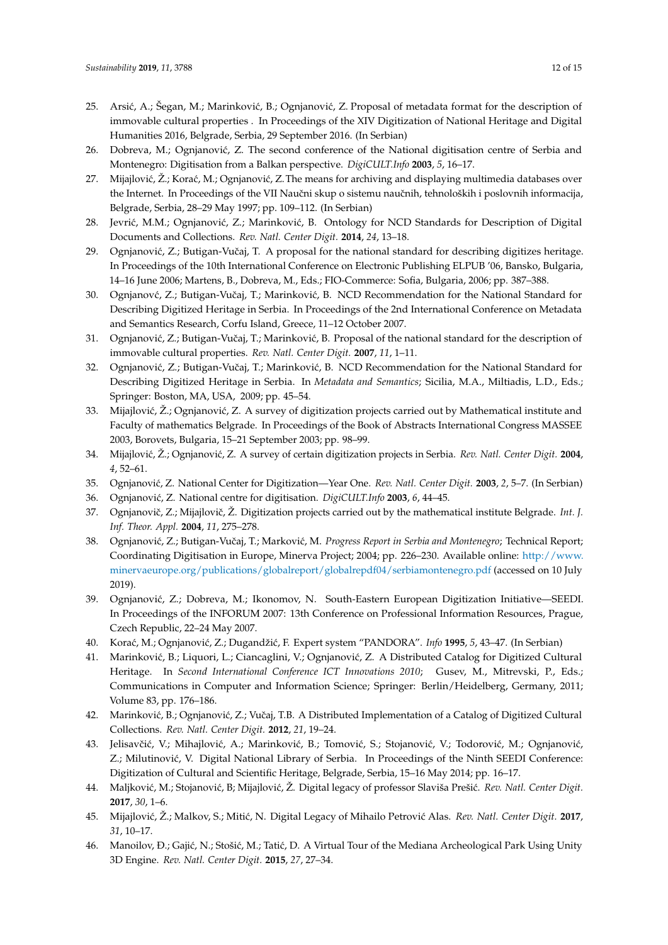- <span id="page-11-0"></span>25. Arsić, A.; Šegan, M.; Marinković, B.; Ognjanović, Z. Proposal of metadata format for the description of immovable cultural properties . In Proceedings of the XIV Digitization of National Heritage and Digital Humanities 2016, Belgrade, Serbia, 29 September 2016. (In Serbian)
- 26. Dobreva, M.; Ognjanović, Z. The second conference of the National digitisation centre of Serbia and Montenegro: Digitisation from a Balkan perspective. *DigiCULT.Info* **2003**, *5*, 16–17.
- 27. Mijajlović, Ž.; Korać, M.; Ognjanović, Z. The means for archiving and displaying multimedia databases over the Internet. In Proceedings of the VII Naučni skup o sistemu naučnih, tehnoloških i poslovnih informacija, Belgrade, Serbia, 28–29 May 1997; pp. 109–112. (In Serbian)
- 28. Jevrić, M.M.; Ognjanović, Z.; Marinković, B. Ontology for NCD Standards for Description of Digital Documents and Collections. *Rev. Natl. Center Digit.* **2014**, *24*, 13–18.
- <span id="page-11-7"></span>29. Ognjanović, Z.; Butigan-Vučaj, T. A proposal for the national standard for describing digitizes heritage. In Proceedings of the 10th International Conference on Electronic Publishing ELPUB '06, Bansko, Bulgaria, 14–16 June 2006; Martens, B., Dobreva, M., Eds.; FIO-Commerce: Sofia, Bulgaria, 2006; pp. 387–388.
- <span id="page-11-8"></span>30. Ognjanovć, Z.; Butigan-Vučaj, T.; Marinković, B. NCD Recommendation for the National Standard for Describing Digitized Heritage in Serbia. In Proceedings of the 2nd International Conference on Metadata and Semantics Research, Corfu Island, Greece, 11–12 October 2007.
- 31. Ognjanović, Z.; Butigan-Vučaj, T.; Marinković, B. Proposal of the national standard for the description of immovable cultural properties. *Rev. Natl. Center Digit.* **2007**, *11*, 1–11.
- <span id="page-11-1"></span>32. Ognjanović, Z.; Butigan-Vučaj, T.; Marinković, B. NCD Recommendation for the National Standard for Describing Digitized Heritage in Serbia. In *Metadata and Semantics*; Sicilia, M.A., Miltiadis, L.D., Eds.; Springer: Boston, MA, USA, 2009; pp. 45–54.
- <span id="page-11-2"></span>33. Mijajlović, Ž.; Ognjanović, Z. A survey of digitization projects carried out by Mathematical institute and Faculty of mathematics Belgrade. In Proceedings of the Book of Abstracts International Congress MASSEE 2003, Borovets, Bulgaria, 15–21 September 2003; pp. 98–99.
- 34. Mijajlović, Ž.; Ognjanović, Z. A survey of certain digitization projects in Serbia. *Rev. Natl. Center Digit.* 2004, *4*, 52–61.
- 35. Ognjanovi´c, Z. National Center for Digitization—Year One. *Rev. Natl. Center Digit.* **2003**, *2*, 5–7. (In Serbian)
- 36. Ognjanovi´c, Z. National centre for digitisation. *DigiCULT.Info* **2003**, *6*, 44–45.
- 37. Ognjanovič, Z.; Mijajlovič, Ž. Digitization projects carried out by the mathematical institute Belgrade. *Int.* J. *Inf. Theor. Appl.* **2004**, *11*, 275–278.
- 38. Ognjanović, Z.; Butigan-Vučaj, T.; Marković, M. *Progress Report in Serbia and Montenegro*; Technical Report; Coordinating Digitisation in Europe, Minerva Project; 2004; pp. 226–230. Available online: [http://www.](http://www.minervaeurope.org/publications/globalreport/globalrepdf04/serbiamontenegro.pdf) [minervaeurope.org/publications/globalreport/globalrepdf04/serbiamontenegro.pdf](http://www.minervaeurope.org/publications/globalreport/globalrepdf04/serbiamontenegro.pdf) (accessed on 10 July 2019).
- <span id="page-11-3"></span>39. Ognjanović, Z.; Dobreva, M.; Ikonomov, N. South-Eastern European Digitization Initiative—SEEDI. In Proceedings of the INFORUM 2007: 13th Conference on Professional Information Resources, Prague, Czech Republic, 22–24 May 2007.
- <span id="page-11-4"></span>40. Kora´c, M.; Ognjanovi´c, Z.; Dugandži´c, F. Expert system "PANDORA". *Info* **1995**, *5*, 43–47. (In Serbian)
- 41. Marinković, B.; Liquori, L.; Ciancaglini, V.; Ognjanović, Z. A Distributed Catalog for Digitized Cultural Heritage. In *Second International Conference ICT Innovations 2010*; Gusev, M., Mitrevski, P., Eds.; Communications in Computer and Information Science; Springer: Berlin/Heidelberg, Germany, 2011; Volume 83, pp. 176–186.
- <span id="page-11-5"></span>42. Marinković, B.; Ognjanović, Z.; Vučaj, T.B. A Distributed Implementation of a Catalog of Digitized Cultural Collections. *Rev. Natl. Center Digit.* **2012**, *21*, 19–24.
- <span id="page-11-6"></span>43. Jelisavčić, V.; Mihajlović, A.; Marinković, B.; Tomović, S.; Stojanović, V.; Todorović, M.; Ognjanović, Z.; Milutinović, V. Digital National Library of Serbia. In Proceedings of the Ninth SEEDI Conference: Digitization of Cultural and Scientific Heritage, Belgrade, Serbia, 15–16 May 2014; pp. 16–17.
- 44. Maljković, M.; Stojanović, B; Mijajlović, Ž. Digital legacy of professor Slaviša Prešić. *Rev. Natl. Center Digit.* **2017**, *30*, 1–6.
- 45. Mijajlovi´c, Ž.; Malkov, S.; Miti´c, N. Digital Legacy of Mihailo Petrovi´c Alas. *Rev. Natl. Center Digit.* **2017**, *31*, 10–17.
- 46. Manoilov, Đ.; Gajić, N.; Stošić, M.; Tatić, D. A Virtual Tour of the Mediana Archeological Park Using Unity 3D Engine. *Rev. Natl. Center Digit.* **2015**, *27*, 27–34.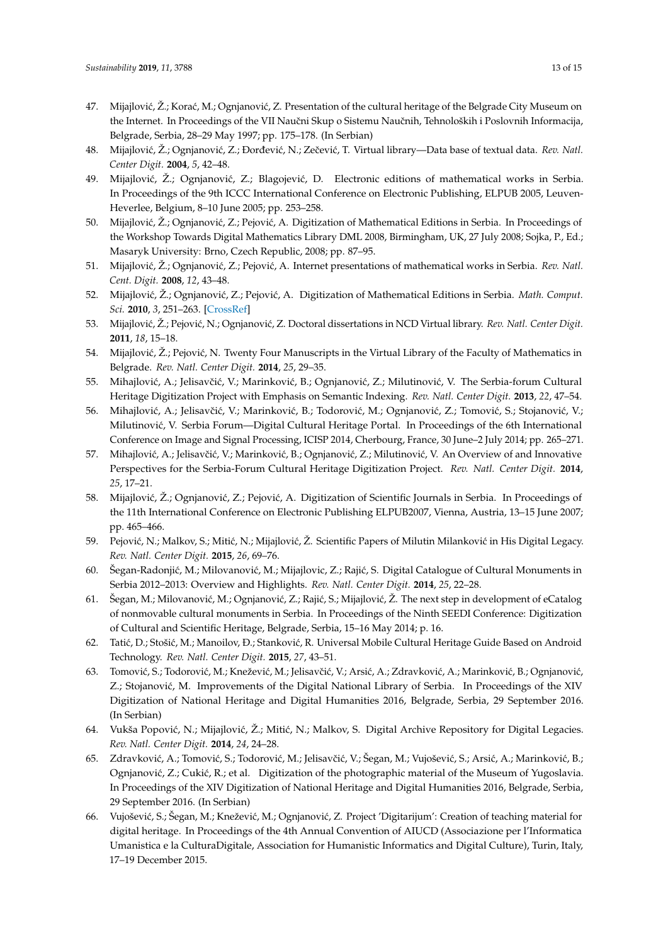- 47. Mijajlović, Ž.; Korać, M.; Ognjanović, Z. Presentation of the cultural heritage of the Belgrade City Museum on the Internet. In Proceedings of the VII Nauˇcni Skup o Sistemu Nauˇcnih, Tehnoloških i Poslovnih Informacija, Belgrade, Serbia, 28–29 May 1997; pp. 175–178. (In Serbian)
- 48. Mijajlović, Ž.; Ognjanović, Z.; Đorđević, N.; Zečević, T. Virtual library—Data base of textual data. *Rev. Natl. Center Digit.* **2004**, *5*, 42–48.
- 49. Mijajlović, Ž.; Ognjanović, Z.; Blagojević, D. Electronic editions of mathematical works in Serbia. In Proceedings of the 9th ICCC International Conference on Electronic Publishing, ELPUB 2005, Leuven-Heverlee, Belgium, 8–10 June 2005; pp. 253–258.
- 50. Mijajlović, Ž.; Ognjanović, Z.; Pejović, A. Digitization of Mathematical Editions in Serbia. In Proceedings of the Workshop Towards Digital Mathematics Library DML 2008, Birmingham, UK, 27 July 2008; Sojka, P., Ed.; Masaryk University: Brno, Czech Republic, 2008; pp. 87–95.
- 51. Mijajlović, Ž.; Ognjanović, Z.; Pejović, A. Internet presentations of mathematical works in Serbia. *Rev. Natl. Cent. Digit.* **2008**, *12*, 43–48.
- 52. Mijajlović, Ž.; Ognjanović, Z.; Pejović, A. Digitization of Mathematical Editions in Serbia. *Math. Comput. Sci.* **2010**, *3*, 251–263. [\[CrossRef\]](http://dx.doi.org/10.1007/s11786-010-0021-x)
- 53. Mijajlović, Ž.; Pejović, N.; Ognjanović, Z. Doctoral dissertations in NCD Virtual library. *Rev. Natl. Center Digit.* **2011**, *18*, 15–18.
- 54. Mijajlović, Ž.; Pejović, N. Twenty Four Manuscripts in the Virtual Library of the Faculty of Mathematics in Belgrade. *Rev. Natl. Center Digit.* **2014**, *25*, 29–35.
- 55. Mihajlović, A.; Jelisavčić, V.; Marinković, B.; Ognjanović, Z.; Milutinović, V. The Serbia-forum Cultural Heritage Digitization Project with Emphasis on Semantic Indexing. *Rev. Natl. Center Digit.* **2013**, *22*, 47–54.
- 56. Mihajlović, A.; Jelisavčić, V.; Marinković, B.; Todorović, M.; Ognjanović, Z.; Tomović, S.; Stojanović, V.; Milutinović, V. Serbia Forum—Digital Cultural Heritage Portal. In Proceedings of the 6th International Conference on Image and Signal Processing, ICISP 2014, Cherbourg, France, 30 June–2 July 2014; pp. 265–271.
- 57. Mihajlović, A.; Jelisavčić, V.; Marinković, B.; Ognjanović, Z.; Milutinović, V. An Overview of and Innovative Perspectives for the Serbia-Forum Cultural Heritage Digitization Project. *Rev. Natl. Center Digit.* **2014**, *25*, 17–21.
- 58. Mijajlović, Ž.; Ognjanović, Z.; Pejović, A. Digitization of Scientific Journals in Serbia. In Proceedings of the 11th International Conference on Electronic Publishing ELPUB2007, Vienna, Austria, 13–15 June 2007; pp. 465–466.
- 59. Pejović, N.; Malkov, S.; Mitić, N.; Mijajlović, Ž. Scientific Papers of Milutin Milanković in His Digital Legacy. *Rev. Natl. Center Digit.* **2015**, *26*, 69–76.
- 60. Šegan-Radonjić, M.; Milovanović, M.; Mijajlovic, Z.; Rajić, S. Digital Catalogue of Cultural Monuments in Serbia 2012–2013: Overview and Highlights. *Rev. Natl. Center Digit.* **2014**, *25*, 22–28.
- 61. Šegan, M.; Milovanović, M.; Ognjanović, Z.; Rajić, S.; Mijajlović, Ž. The next step in development of eCatalog of nonmovable cultural monuments in Serbia. In Proceedings of the Ninth SEEDI Conference: Digitization of Cultural and Scientific Heritage, Belgrade, Serbia, 15–16 May 2014; p. 16.
- 62. Tatić, D.; Stošić, M.; Manoilov, Đ.; Stanković, R. Universal Mobile Cultural Heritage Guide Based on Android Technology. *Rev. Natl. Center Digit.* **2015**, *27*, 43–51.
- 63. Tomović, S.; Todorović, M.; Knežević, M.; Jelisavčić, V.; Arsić, A.; Zdravković, A.; Marinković, B.; Ognjanović, Z.; Stojanović, M. Improvements of the Digital National Library of Serbia. In Proceedings of the XIV Digitization of National Heritage and Digital Humanities 2016, Belgrade, Serbia, 29 September 2016. (In Serbian)
- 64. Vukša Popović, N.; Mijajlović, Ž.; Mitić, N.; Malkov, S. Digital Archive Repository for Digital Legacies. *Rev. Natl. Center Digit.* **2014**, *24*, 24–28.
- <span id="page-12-0"></span>65. Zdravković, A.; Tomović, S.; Todorović, M.; Jelisavčić, V.; Šegan, M.; Vujošević, S.; Arsić, A.; Marinković, B.; Ognjanović, Z.; Cukić, R.; et al. Digitization of the photographic material of the Museum of Yugoslavia. In Proceedings of the XIV Digitization of National Heritage and Digital Humanities 2016, Belgrade, Serbia, 29 September 2016. (In Serbian)
- <span id="page-12-1"></span>66. Vujošević, S.; Šegan, M.; Knežević, M.; Ognjanović, Z. Project 'Digitarijum': Creation of teaching material for digital heritage. In Proceedings of the 4th Annual Convention of AIUCD (Associazione per l'Informatica Umanistica e la CulturaDigitale, Association for Humanistic Informatics and Digital Culture), Turin, Italy, 17–19 December 2015.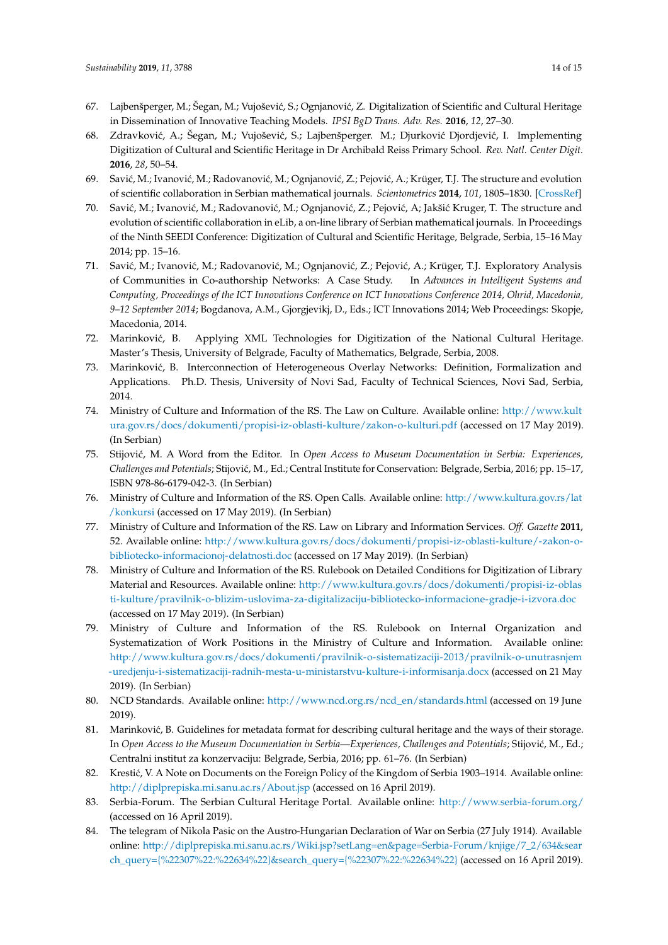- 67. Lajbenšperger, M.; Šegan, M.; Vujošević, S.; Ognjanović, Z. Digitalization of Scientific and Cultural Heritage in Dissemination of Innovative Teaching Models. *IPSI BgD Trans. Adv. Res.* **2016**, *12*, 27–30.
- <span id="page-13-0"></span>68. Zdravković, A.; Šegan, M.; Vujošević, S.; Lajbenšperger. M.; Djurković Djordjević, I. Implementing Digitization of Cultural and Scientific Heritage in Dr Archibald Reiss Primary School. *Rev. Natl. Center Digit.* **2016**, *28*, 50–54.
- <span id="page-13-1"></span>69. Savić, M.; Ivanović, M.; Radovanović, M.; Ognjanović, Z.; Pejović, A.; Krüger, T.J. The structure and evolution of scientific collaboration in Serbian mathematical journals. *Scientometrics* **2014**, *101*, 1805–1830. [\[CrossRef\]](http://dx.doi.org/10.1007/s11192-014-1295-6)
- 70. Savić, M.; Ivanović, M.; Radovanović, M.; Ognjanović, Z.; Pejović, A; Jakšić Kruger, T. The structure and evolution of scientific collaboration in eLib, a on-line library of Serbian mathematical journals. In Proceedings of the Ninth SEEDI Conference: Digitization of Cultural and Scientific Heritage, Belgrade, Serbia, 15–16 May 2014; pp. 15–16.
- <span id="page-13-2"></span>71. Savić, M.; Ivanović, M.; Radovanović, M.; Ognjanović, Z.; Pejović, A.; Krüger, T.J. Exploratory Analysis of Communities in Co-authorship Networks: A Case Study. In *Advances in Intelligent Systems and Computing, Proceedings of the ICT Innovations Conference on ICT Innovations Conference 2014, Ohrid, Macedonia, 9–12 September 2014*; Bogdanova, A.M., Gjorgjevikj, D., Eds.; ICT Innovations 2014; Web Proceedings: Skopje, Macedonia, 2014.
- <span id="page-13-3"></span>72. Marinković, B. Applying XML Technologies for Digitization of the National Cultural Heritage. Master's Thesis, University of Belgrade, Faculty of Mathematics, Belgrade, Serbia, 2008.
- <span id="page-13-4"></span>73. Marinković, B. Interconnection of Heterogeneous Overlay Networks: Definition, Formalization and Applications. Ph.D. Thesis, University of Novi Sad, Faculty of Technical Sciences, Novi Sad, Serbia, 2014.
- <span id="page-13-5"></span>74. Ministry of Culture and Information of the RS. The Law on Culture. Available online: [http://www.kult](http://www.kultura.gov.rs/docs/dokumenti/propisi-iz-oblasti-kulture/zakon-o-kulturi.pdf) [ura.gov.rs/docs/dokumenti/propisi-iz-oblasti-kulture/zakon-o-kulturi.pdf](http://www.kultura.gov.rs/docs/dokumenti/propisi-iz-oblasti-kulture/zakon-o-kulturi.pdf) (accessed on 17 May 2019). (In Serbian)
- <span id="page-13-6"></span>75. Stijović, M. A Word from the Editor. In *Open Access to Museum Documentation in Serbia: Experiences*, *Challenges and Potentials*; Stijovi´c, M., Ed.; Central Institute for Conservation: Belgrade, Serbia, 2016; pp. 15–17, ISBN 978-86-6179-042-3. (In Serbian)
- <span id="page-13-7"></span>76. Ministry of Culture and Information of the RS. Open Calls. Available online: [http://www.kultura.gov.rs/lat](http://www.kultura.gov.rs/lat/konkursi) [/konkursi](http://www.kultura.gov.rs/lat/konkursi) (accessed on 17 May 2019). (In Serbian)
- <span id="page-13-8"></span>77. Ministry of Culture and Information of the RS. Law on Library and Information Services. *Off. Gazette* **2011**, 52. Available online: [http://www.kultura.gov.rs/docs/dokumenti/propisi-iz-oblasti-kulture/-zakon-o](http://www.kultura.gov.rs/docs/dokumenti/propisi-iz-oblasti-kulture/-zakon-o-bibliotecko-informacionoj-delatnosti.doc)[bibliotecko-informacionoj-delatnosti.doc](http://www.kultura.gov.rs/docs/dokumenti/propisi-iz-oblasti-kulture/-zakon-o-bibliotecko-informacionoj-delatnosti.doc) (accessed on 17 May 2019). (In Serbian)
- <span id="page-13-9"></span>78. Ministry of Culture and Information of the RS. Rulebook on Detailed Conditions for Digitization of Library Material and Resources. Available online: [http://www.kultura.gov.rs/docs/dokumenti/propisi-iz-oblas](http://www.kultura.gov.rs/docs/dokumenti/propisi-iz-oblasti-kulture/pravilnik-o-blizim-uslovima-za-digitalizaciju-bibliotecko-informacione-gradje-i-izvora.doc) [ti-kulture/pravilnik-o-blizim-uslovima-za-digitalizaciju-bibliotecko-informacione-gradje-i-izvora.doc](http://www.kultura.gov.rs/docs/dokumenti/propisi-iz-oblasti-kulture/pravilnik-o-blizim-uslovima-za-digitalizaciju-bibliotecko-informacione-gradje-i-izvora.doc) (accessed on 17 May 2019). (In Serbian)
- <span id="page-13-10"></span>79. Ministry of Culture and Information of the RS. Rulebook on Internal Organization and Systematization of Work Positions in the Ministry of Culture and Information. Available online: [http://www.kultura.gov.rs/docs/dokumenti/pravilnik-o-sistematizaciji-2013/pravilnik-o-unutrasnjem](http://www.kultura.gov.rs/docs/dokumenti/pravilnik-o-sistematizaciji-2013/pravilnik-o-unutrasnjem-uredjenju-i-sistematizaciji-radnih-mesta-u-ministarstvu-kulture-i-informisanja.docx) [-uredjenju-i-sistematizaciji-radnih-mesta-u-ministarstvu-kulture-i-informisanja.docx](http://www.kultura.gov.rs/docs/dokumenti/pravilnik-o-sistematizaciji-2013/pravilnik-o-unutrasnjem-uredjenju-i-sistematizaciji-radnih-mesta-u-ministarstvu-kulture-i-informisanja.docx) (accessed on 21 May 2019). (In Serbian)
- <span id="page-13-11"></span>80. NCD Standards. Available online: [http://www.ncd.org.rs/ncd\\_en/standards.html](http://www.ncd.org.rs/ncd_en/standards.html) (accessed on 19 June 2019).
- <span id="page-13-12"></span>81. Marinković, B. Guidelines for metadata format for describing cultural heritage and the ways of their storage. In *Open Access to the Museum Documentation in Serbia—Experiences, Challenges and Potentials*; Stijović, M., Ed.; Centralni institut za konzervaciju: Belgrade, Serbia, 2016; pp. 61–76. (In Serbian)
- <span id="page-13-13"></span>82. Krestić, V. A Note on Documents on the Foreign Policy of the Kingdom of Serbia 1903–1914. Available online: <http://diplprepiska.mi.sanu.ac.rs/About.jsp> (accessed on 16 April 2019).
- <span id="page-13-14"></span>83. Serbia-Forum. The Serbian Cultural Heritage Portal. Available online: <http://www.serbia-forum.org/> (accessed on 16 April 2019).
- <span id="page-13-15"></span>84. The telegram of Nikola Pasic on the Austro-Hungarian Declaration of War on Serbia (27 July 1914). Available online: [http://diplprepiska.mi.sanu.ac.rs/Wiki.jsp?setLang=en&page=Serbia-Forum/knjige/7\\_2/634&sear](http://diplprepiska.mi.sanu.ac.rs/Wiki.jsp?setLang=en&page=Serbia-Forum/knjige/7_2/634&search_query={%22307%22:%22634%22}&search_query={%22307%22:%22634%22}) [ch\\_query={%22307%22:%22634%22}&search\\_query={%22307%22:%22634%22}](http://diplprepiska.mi.sanu.ac.rs/Wiki.jsp?setLang=en&page=Serbia-Forum/knjige/7_2/634&search_query={%22307%22:%22634%22}&search_query={%22307%22:%22634%22}) (accessed on 16 April 2019).